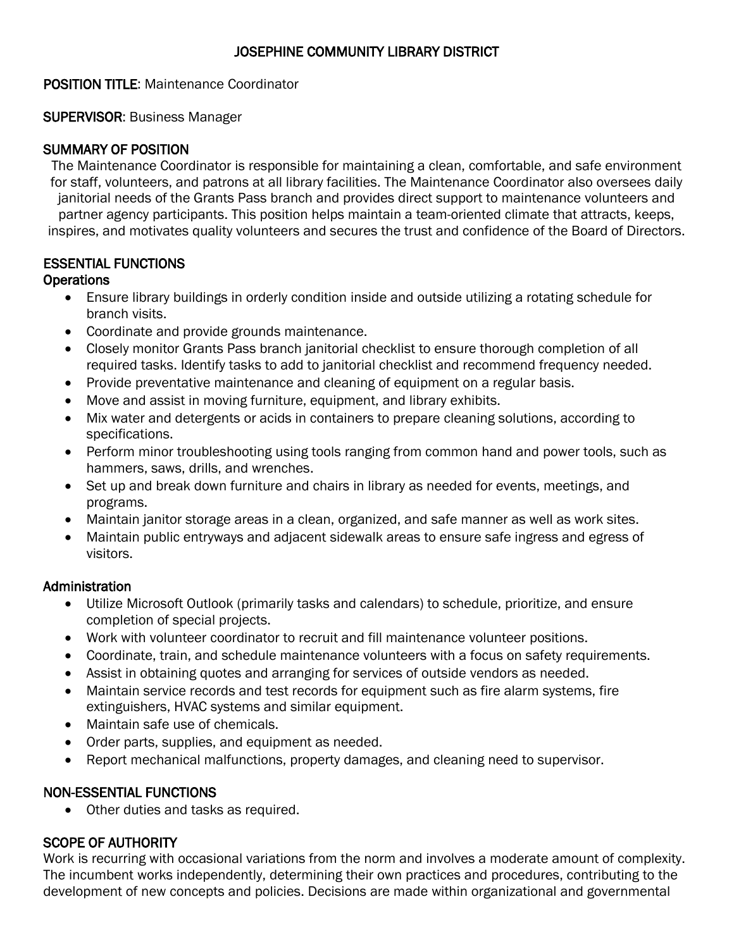## JOSEPHINE COMMUNITY LIBRARY DISTRICT

### POSITION TITLE: Maintenance Coordinator

### SUPERVISOR: Business Manager

## SUMMARY OF POSITION

The Maintenance Coordinator is responsible for maintaining a clean, comfortable, and safe environment for staff, volunteers, and patrons at all library facilities. The Maintenance Coordinator also oversees daily janitorial needs of the Grants Pass branch and provides direct support to maintenance volunteers and partner agency participants. This position helps maintain a team-oriented climate that attracts, keeps, inspires, and motivates quality volunteers and secures the trust and confidence of the Board of Directors.

# ESSENTIAL FUNCTIONS

## **Operations**

- Ensure library buildings in orderly condition inside and outside utilizing a rotating schedule for branch visits.
- Coordinate and provide grounds maintenance.
- Closely monitor Grants Pass branch janitorial checklist to ensure thorough completion of all required tasks. Identify tasks to add to janitorial checklist and recommend frequency needed.
- Provide preventative maintenance and cleaning of equipment on a regular basis.
- Move and assist in moving furniture, equipment, and library exhibits.
- Mix water and detergents or acids in containers to prepare cleaning solutions, according to specifications.
- Perform minor troubleshooting using tools ranging from common hand and power tools, such as hammers, saws, drills, and wrenches.
- Set up and break down furniture and chairs in library as needed for events, meetings, and programs.
- Maintain janitor storage areas in a clean, organized, and safe manner as well as work sites.
- Maintain public entryways and adjacent sidewalk areas to ensure safe ingress and egress of visitors.

### Administration

- Utilize Microsoft Outlook (primarily tasks and calendars) to schedule, prioritize, and ensure completion of special projects.
- Work with volunteer coordinator to recruit and fill maintenance volunteer positions.
- Coordinate, train, and schedule maintenance volunteers with a focus on safety requirements.
- Assist in obtaining quotes and arranging for services of outside vendors as needed.
- Maintain service records and test records for equipment such as fire alarm systems, fire extinguishers, HVAC systems and similar equipment.
- Maintain safe use of chemicals.
- Order parts, supplies, and equipment as needed.
- Report mechanical malfunctions, property damages, and cleaning need to supervisor.

# NON-ESSENTIAL FUNCTIONS

Other duties and tasks as required.

# SCOPE OF AUTHORITY

Work is recurring with occasional variations from the norm and involves a moderate amount of complexity. The incumbent works independently, determining their own practices and procedures, contributing to the development of new concepts and policies. Decisions are made within organizational and governmental